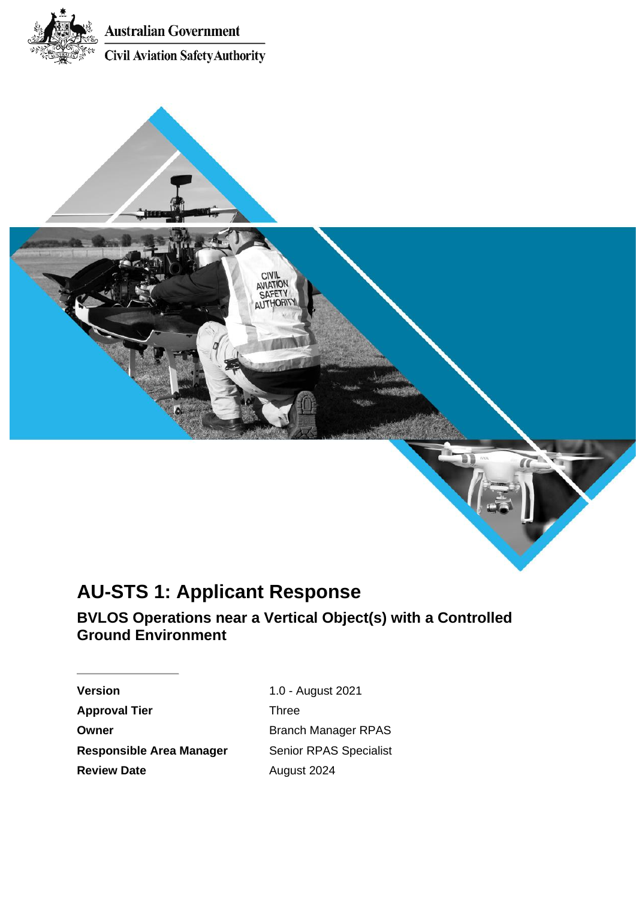

# **AU-STS 1: Applicant Response**

**BVLOS Operations near a Vertical Object(s) with a Controlled Ground Environment** 

**10ITAIVA** 

**Version** 1.0 - August 2021 **Approval Tier Three Owner Discription Branch Manager RPAS Responsible Area Manager Senior RPAS Specialist Review Date August 2024**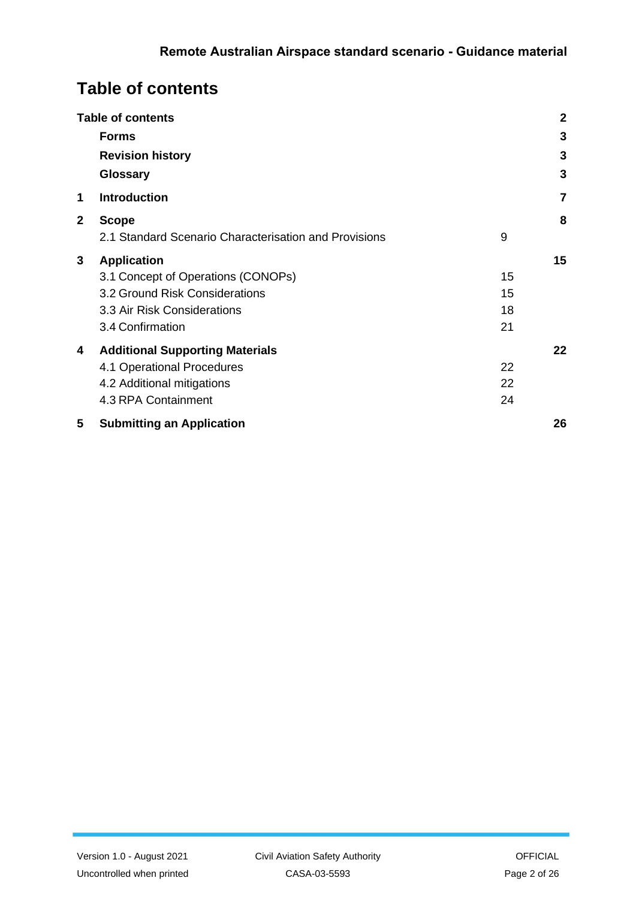# <span id="page-1-0"></span>**Table of contents**

|             | <b>Table of contents</b>                              |    | $\mathbf{2}$ |
|-------------|-------------------------------------------------------|----|--------------|
|             | <b>Forms</b>                                          |    | 3            |
|             | <b>Revision history</b>                               |    | 3            |
|             | Glossary                                              |    | 3            |
| 1           | <b>Introduction</b>                                   |    | 7            |
| $\mathbf 2$ | <b>Scope</b>                                          |    | 8            |
|             | 2.1 Standard Scenario Characterisation and Provisions | 9  |              |
| 3           | <b>Application</b>                                    |    | 15           |
|             | 3.1 Concept of Operations (CONOPs)                    | 15 |              |
|             | 3.2 Ground Risk Considerations                        | 15 |              |
|             | 3.3 Air Risk Considerations                           | 18 |              |
|             | 3.4 Confirmation                                      | 21 |              |
| 4           | <b>Additional Supporting Materials</b>                |    | 22           |
|             | 4.1 Operational Procedures                            | 22 |              |
|             | 4.2 Additional mitigations                            | 22 |              |
|             | 4.3 RPA Containment                                   | 24 |              |
| 5           | <b>Submitting an Application</b>                      |    | 26           |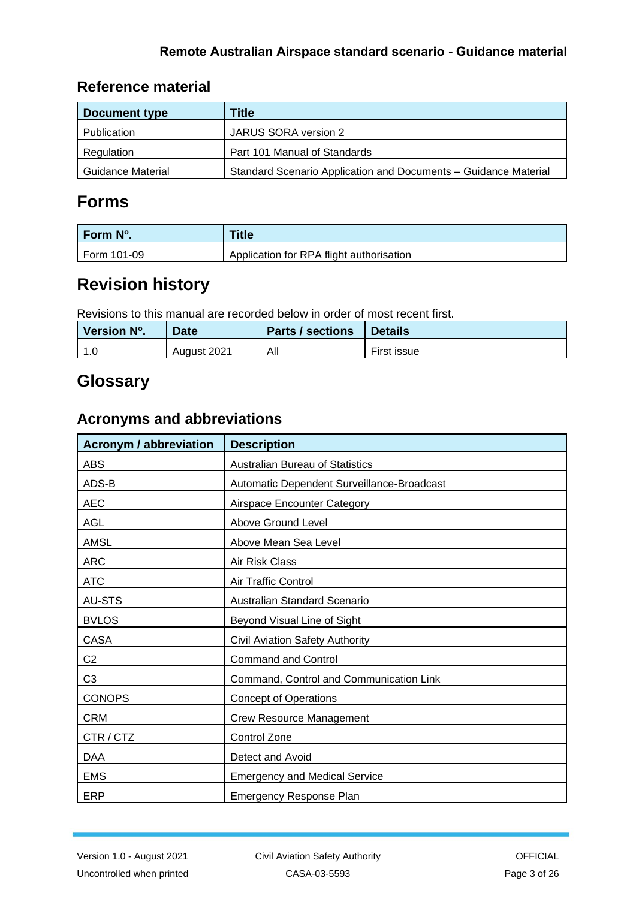## **Reference material**

| Document type     | Title                                                           |
|-------------------|-----------------------------------------------------------------|
| Publication       | JARUS SORA version 2                                            |
| Regulation        | Part 101 Manual of Standards                                    |
| Guidance Material | Standard Scenario Application and Documents - Guidance Material |

# <span id="page-2-0"></span>**Forms**

| Form N°.    | <b>Title</b>                             |
|-------------|------------------------------------------|
| Form 101-09 | Application for RPA flight authorisation |

# <span id="page-2-1"></span>**Revision history**

Revisions to this manual are recorded below in order of most recent first.

| Version N°. | <b>Date</b> | <b>Parts / sections</b> | <b>Details</b> |
|-------------|-------------|-------------------------|----------------|
| 1.0         | August 2021 | All                     | First issue    |

# <span id="page-2-2"></span>**Glossary**

## **Acronyms and abbreviations**

| <b>Acronym / abbreviation</b> | <b>Description</b>                         |
|-------------------------------|--------------------------------------------|
| <b>ABS</b>                    | <b>Australian Bureau of Statistics</b>     |
| ADS-B                         | Automatic Dependent Surveillance-Broadcast |
| <b>AEC</b>                    | Airspace Encounter Category                |
| <b>AGL</b>                    | Above Ground Level                         |
| AMSL                          | Above Mean Sea Level                       |
| <b>ARC</b>                    | Air Risk Class                             |
| <b>ATC</b>                    | Air Traffic Control                        |
| AU-STS                        | Australian Standard Scenario               |
| <b>BVLOS</b>                  | Beyond Visual Line of Sight                |
| <b>CASA</b>                   | Civil Aviation Safety Authority            |
| C2                            | <b>Command and Control</b>                 |
| C <sub>3</sub>                | Command, Control and Communication Link    |
| <b>CONOPS</b>                 | <b>Concept of Operations</b>               |
| <b>CRM</b>                    | Crew Resource Management                   |
| CTR/CTZ                       | <b>Control Zone</b>                        |
| <b>DAA</b>                    | Detect and Avoid                           |
| <b>EMS</b>                    | <b>Emergency and Medical Service</b>       |
| <b>ERP</b>                    | <b>Emergency Response Plan</b>             |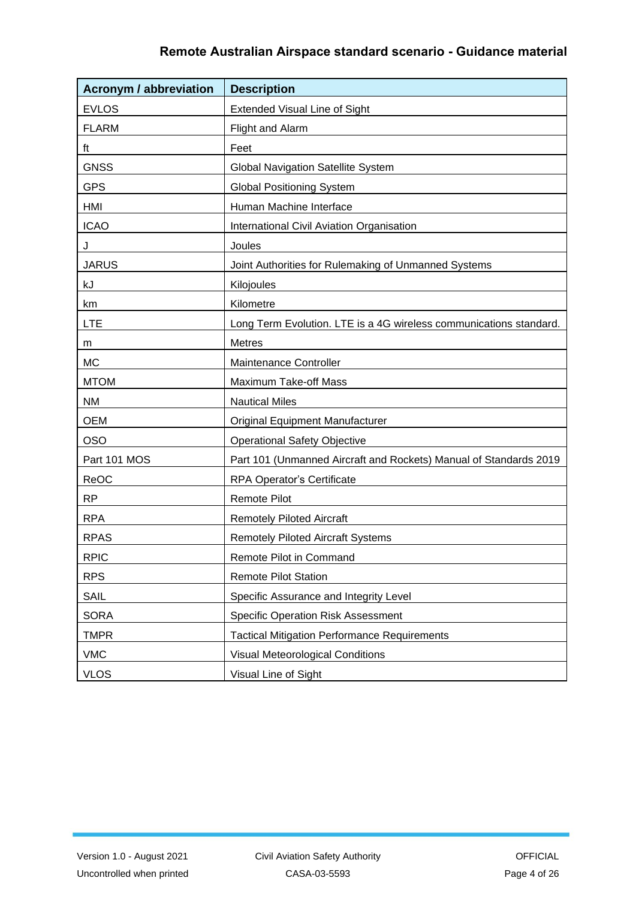| <b>Acronym / abbreviation</b> | <b>Description</b>                                                 |
|-------------------------------|--------------------------------------------------------------------|
| <b>EVLOS</b>                  | <b>Extended Visual Line of Sight</b>                               |
| <b>FLARM</b>                  | Flight and Alarm                                                   |
| ft                            | Feet                                                               |
| <b>GNSS</b>                   | <b>Global Navigation Satellite System</b>                          |
| <b>GPS</b>                    | <b>Global Positioning System</b>                                   |
| <b>HMI</b>                    | Human Machine Interface                                            |
| <b>ICAO</b>                   | International Civil Aviation Organisation                          |
| J                             | Joules                                                             |
| <b>JARUS</b>                  | Joint Authorities for Rulemaking of Unmanned Systems               |
| kJ                            | Kilojoules                                                         |
| km                            | Kilometre                                                          |
| <b>LTE</b>                    | Long Term Evolution. LTE is a 4G wireless communications standard. |
| m                             | <b>Metres</b>                                                      |
| <b>MC</b>                     | Maintenance Controller                                             |
| <b>MTOM</b>                   | Maximum Take-off Mass                                              |
| <b>NM</b>                     | <b>Nautical Miles</b>                                              |
| <b>OEM</b>                    | <b>Original Equipment Manufacturer</b>                             |
| <b>OSO</b>                    | <b>Operational Safety Objective</b>                                |
| Part 101 MOS                  | Part 101 (Unmanned Aircraft and Rockets) Manual of Standards 2019  |
| ReOC                          | RPA Operator's Certificate                                         |
| <b>RP</b>                     | <b>Remote Pilot</b>                                                |
| <b>RPA</b>                    | <b>Remotely Piloted Aircraft</b>                                   |
| <b>RPAS</b>                   | <b>Remotely Piloted Aircraft Systems</b>                           |
| <b>RPIC</b>                   | Remote Pilot in Command                                            |
| <b>RPS</b>                    | <b>Remote Pilot Station</b>                                        |
| SAIL                          | Specific Assurance and Integrity Level                             |
| <b>SORA</b>                   | <b>Specific Operation Risk Assessment</b>                          |
| <b>TMPR</b>                   | <b>Tactical Mitigation Performance Requirements</b>                |
| <b>VMC</b>                    | <b>Visual Meteorological Conditions</b>                            |
| <b>VLOS</b>                   | Visual Line of Sight                                               |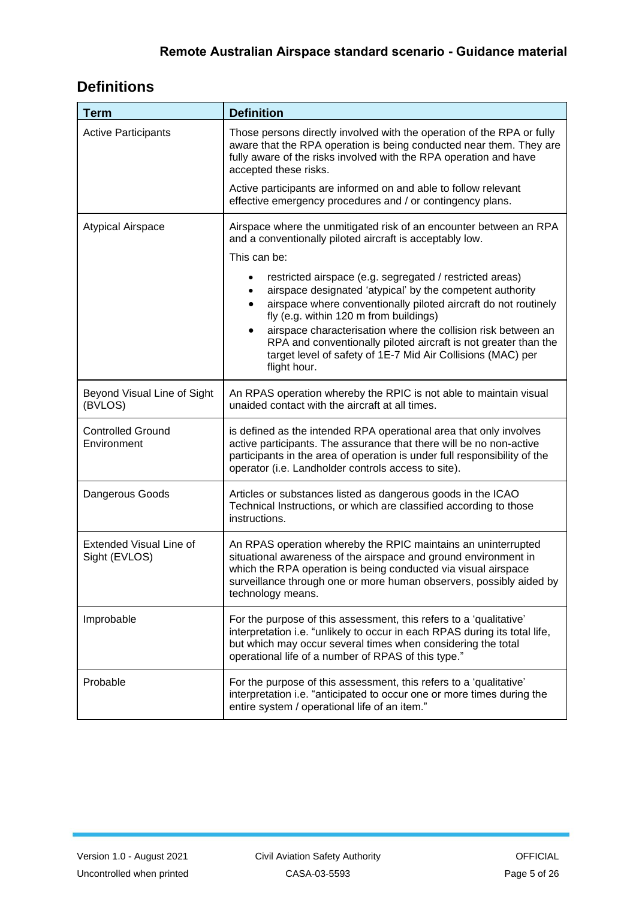# **Definitions**

| <b>Term</b>                              | <b>Definition</b>                                                                                                                                                                                                                                                                                                                                                                                                                                     |  |
|------------------------------------------|-------------------------------------------------------------------------------------------------------------------------------------------------------------------------------------------------------------------------------------------------------------------------------------------------------------------------------------------------------------------------------------------------------------------------------------------------------|--|
| <b>Active Participants</b>               | Those persons directly involved with the operation of the RPA or fully<br>aware that the RPA operation is being conducted near them. They are<br>fully aware of the risks involved with the RPA operation and have<br>accepted these risks.                                                                                                                                                                                                           |  |
|                                          | Active participants are informed on and able to follow relevant<br>effective emergency procedures and / or contingency plans.                                                                                                                                                                                                                                                                                                                         |  |
| <b>Atypical Airspace</b>                 | Airspace where the unmitigated risk of an encounter between an RPA<br>and a conventionally piloted aircraft is acceptably low.                                                                                                                                                                                                                                                                                                                        |  |
|                                          | This can be:                                                                                                                                                                                                                                                                                                                                                                                                                                          |  |
|                                          | restricted airspace (e.g. segregated / restricted areas)<br>airspace designated 'atypical' by the competent authority<br>airspace where conventionally piloted aircraft do not routinely<br>fly (e.g. within 120 m from buildings)<br>airspace characterisation where the collision risk between an<br>RPA and conventionally piloted aircraft is not greater than the<br>target level of safety of 1E-7 Mid Air Collisions (MAC) per<br>flight hour. |  |
| Beyond Visual Line of Sight<br>(BVLOS)   | An RPAS operation whereby the RPIC is not able to maintain visual<br>unaided contact with the aircraft at all times.                                                                                                                                                                                                                                                                                                                                  |  |
| <b>Controlled Ground</b><br>Environment  | is defined as the intended RPA operational area that only involves<br>active participants. The assurance that there will be no non-active<br>participants in the area of operation is under full responsibility of the<br>operator (i.e. Landholder controls access to site).                                                                                                                                                                         |  |
| Dangerous Goods                          | Articles or substances listed as dangerous goods in the ICAO<br>Technical Instructions, or which are classified according to those<br>instructions.                                                                                                                                                                                                                                                                                                   |  |
| Extended Visual Line of<br>Sight (EVLOS) | An RPAS operation whereby the RPIC maintains an uninterrupted<br>situational awareness of the airspace and ground environment in<br>which the RPA operation is being conducted via visual airspace<br>surveillance through one or more human observers, possibly aided by<br>technology means.                                                                                                                                                        |  |
| Improbable                               | For the purpose of this assessment, this refers to a 'qualitative'<br>interpretation i.e. "unlikely to occur in each RPAS during its total life,<br>but which may occur several times when considering the total<br>operational life of a number of RPAS of this type."                                                                                                                                                                               |  |
| Probable                                 | For the purpose of this assessment, this refers to a 'qualitative'<br>interpretation i.e. "anticipated to occur one or more times during the<br>entire system / operational life of an item."                                                                                                                                                                                                                                                         |  |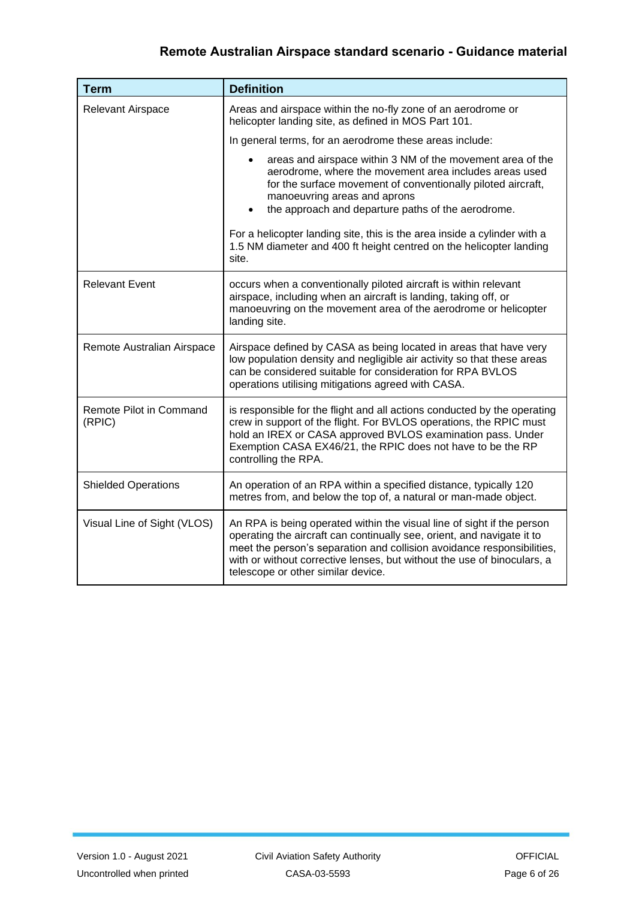| <b>Term</b>                       | <b>Definition</b>                                                                                                                                                                                                                                                                                                                           |
|-----------------------------------|---------------------------------------------------------------------------------------------------------------------------------------------------------------------------------------------------------------------------------------------------------------------------------------------------------------------------------------------|
| <b>Relevant Airspace</b>          | Areas and airspace within the no-fly zone of an aerodrome or<br>helicopter landing site, as defined in MOS Part 101.                                                                                                                                                                                                                        |
|                                   | In general terms, for an aerodrome these areas include:                                                                                                                                                                                                                                                                                     |
|                                   | areas and airspace within 3 NM of the movement area of the<br>aerodrome, where the movement area includes areas used<br>for the surface movement of conventionally piloted aircraft,<br>manoeuvring areas and aprons<br>the approach and departure paths of the aerodrome.                                                                  |
|                                   | For a helicopter landing site, this is the area inside a cylinder with a<br>1.5 NM diameter and 400 ft height centred on the helicopter landing<br>site.                                                                                                                                                                                    |
| <b>Relevant Event</b>             | occurs when a conventionally piloted aircraft is within relevant<br>airspace, including when an aircraft is landing, taking off, or<br>manoeuvring on the movement area of the aerodrome or helicopter<br>landing site.                                                                                                                     |
| Remote Australian Airspace        | Airspace defined by CASA as being located in areas that have very<br>low population density and negligible air activity so that these areas<br>can be considered suitable for consideration for RPA BVLOS<br>operations utilising mitigations agreed with CASA.                                                                             |
| Remote Pilot in Command<br>(RPIC) | is responsible for the flight and all actions conducted by the operating<br>crew in support of the flight. For BVLOS operations, the RPIC must<br>hold an IREX or CASA approved BVLOS examination pass. Under<br>Exemption CASA EX46/21, the RPIC does not have to be the RP<br>controlling the RPA.                                        |
| <b>Shielded Operations</b>        | An operation of an RPA within a specified distance, typically 120<br>metres from, and below the top of, a natural or man-made object.                                                                                                                                                                                                       |
| Visual Line of Sight (VLOS)       | An RPA is being operated within the visual line of sight if the person<br>operating the aircraft can continually see, orient, and navigate it to<br>meet the person's separation and collision avoidance responsibilities,<br>with or without corrective lenses, but without the use of binoculars, a<br>telescope or other similar device. |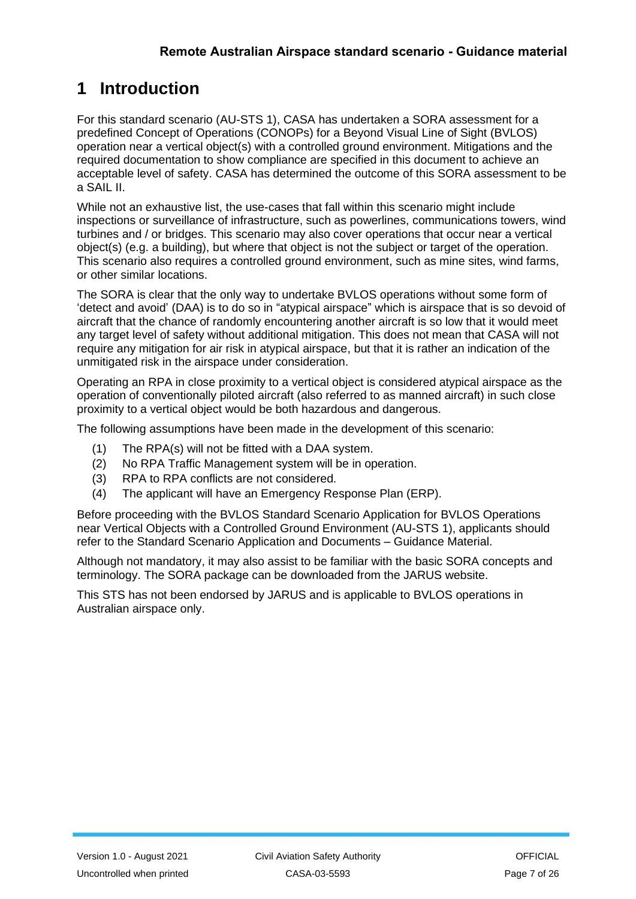# <span id="page-6-0"></span>**1 Introduction**

 For this standard scenario (AU-STS 1), CASA has undertaken a SORA assessment for a predefined Concept of Operations (CONOPs) for a Beyond Visual Line of Sight (BVLOS) operation near a vertical object(s) with a controlled ground environment. Mitigations and the required documentation to show compliance are specified in this document to achieve an acceptable level of safety. CASA has determined the outcome of this SORA assessment to be a SAIL II.

 While not an exhaustive list, the use-cases that fall within this scenario might include inspections or surveillance of infrastructure, such as powerlines, communications towers, wind turbines and / or bridges. This scenario may also cover operations that occur near a vertical object(s) (e.g. a building), but where that object is not the subject or target of the operation. This scenario also requires a controlled ground environment, such as mine sites, wind farms, or other similar locations.

 The SORA is clear that the only way to undertake BVLOS operations without some form of 'detect and avoid' (DAA) is to do so in "atypical airspace" which is airspace that is so devoid of aircraft that the chance of randomly encountering another aircraft is so low that it would meet any target level of safety without additional mitigation. This does not mean that CASA will not require any mitigation for air risk in atypical airspace, but that it is rather an indication of the unmitigated risk in the airspace under consideration.

 Operating an RPA in close proximity to a vertical object is considered atypical airspace as the operation of conventionally piloted aircraft (also referred to as manned aircraft) in such close proximity to a vertical object would be both hazardous and dangerous.

The following assumptions have been made in the development of this scenario:

- (1) The RPA(s) will not be fitted with a DAA system.
- (2) No RPA Traffic Management system will be in operation.
- (3) RPA to RPA conflicts are not considered.
- (4) The applicant will have an Emergency Response Plan (ERP).

 Before proceeding with the BVLOS Standard Scenario Application for BVLOS Operations near Vertical Objects with a Controlled Ground Environment (AU-STS 1), applicants should refer to the Standard Scenario Application and Documents – Guidance Material.

 Although not mandatory, it may also assist to be familiar with the basic SORA concepts and terminology. The SORA package can be downloaded from the JARUS website.

 This STS has not been endorsed by JARUS and is applicable to BVLOS operations in Australian airspace only.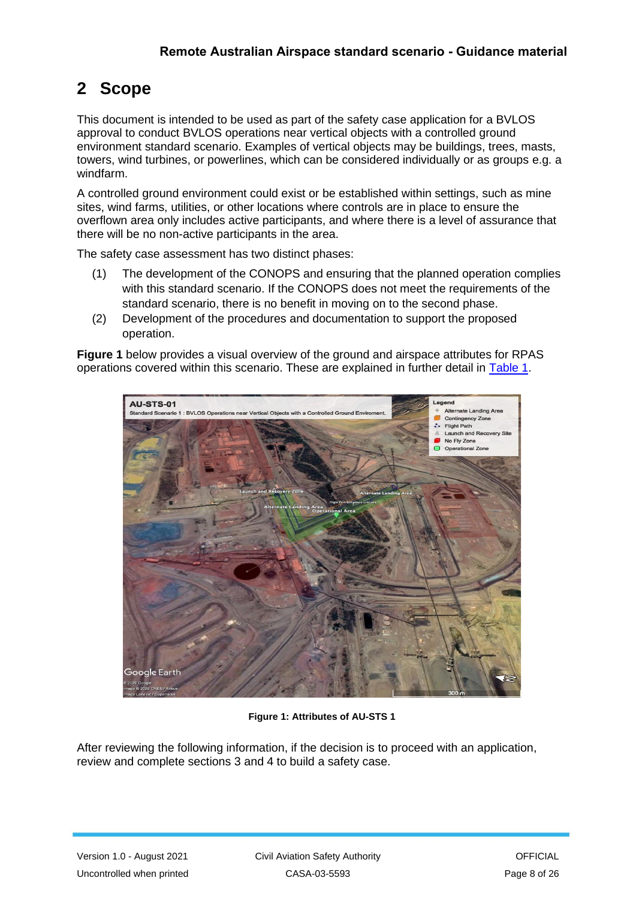# <span id="page-7-0"></span>**2 Scope**

 This document is intended to be used as part of the safety case application for a BVLOS approval to conduct BVLOS operations near vertical objects with a controlled ground environment standard scenario. Examples of vertical objects may be buildings, trees, masts, towers, wind turbines, or powerlines, which can be considered individually or as groups e.g. a windfarm.

 A controlled ground environment could exist or be established within settings, such as mine sites, wind farms, utilities, or other locations where controls are in place to ensure the overflown area only includes active participants, and where there is a level of assurance that there will be no non-active participants in the area.

The safety case assessment has two distinct phases:

- (1) The development of the CONOPS and ensuring that the planned operation complies with this standard scenario. If the CONOPS does not meet the requirements of the standard scenario, there is no benefit in moving on to the second phase.
- (2) Development of the procedures and documentation to support the proposed operation.

 **Figure 1** below provides a visual overview of the ground and airspace attributes for RPAS operations covered within this scenario. These are explained in further detail in [Table 1.](#page-8-1)



**Figure 1: Attributes of AU-STS 1** 

 After reviewing the following information, if the decision is to proceed with an application, review and complete sections 3 and 4 to build a safety case.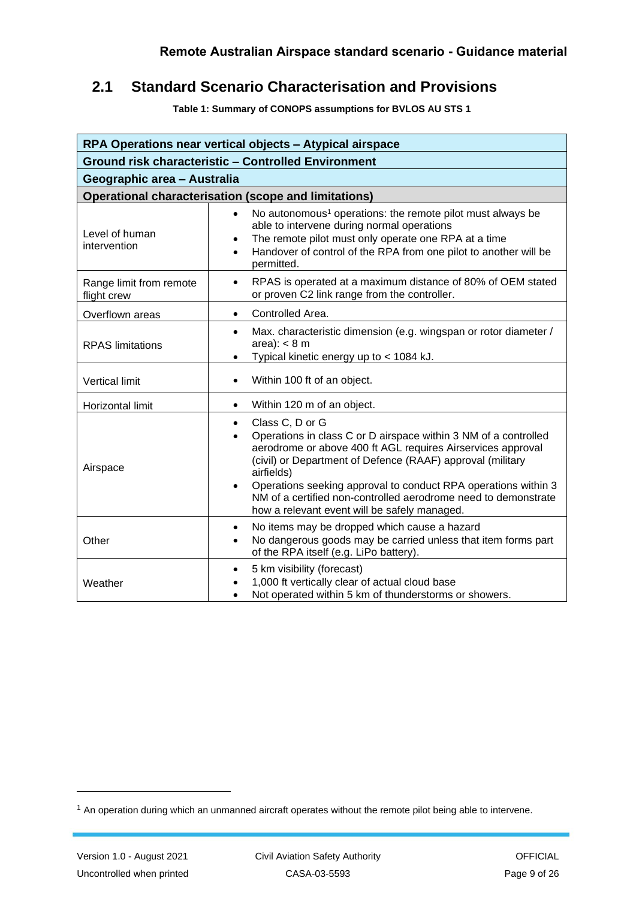## <span id="page-8-0"></span> **2.1 Standard Scenario Characterisation and Provisions**

**Table 1: Summary of CONOPS assumptions for BVLOS AU STS 1** 

<span id="page-8-1"></span>

| RPA Operations near vertical objects - Atypical airspace   |                                                                                                                                                                                                                                                                                                                                                                                                                                                          |  |  |
|------------------------------------------------------------|----------------------------------------------------------------------------------------------------------------------------------------------------------------------------------------------------------------------------------------------------------------------------------------------------------------------------------------------------------------------------------------------------------------------------------------------------------|--|--|
| <b>Ground risk characteristic - Controlled Environment</b> |                                                                                                                                                                                                                                                                                                                                                                                                                                                          |  |  |
| Geographic area - Australia                                |                                                                                                                                                                                                                                                                                                                                                                                                                                                          |  |  |
|                                                            | <b>Operational characterisation (scope and limitations)</b>                                                                                                                                                                                                                                                                                                                                                                                              |  |  |
| Level of human<br>intervention                             | No autonomous <sup>1</sup> operations: the remote pilot must always be<br>$\bullet$<br>able to intervene during normal operations<br>The remote pilot must only operate one RPA at a time<br>Handover of control of the RPA from one pilot to another will be<br>$\bullet$<br>permitted.                                                                                                                                                                 |  |  |
| Range limit from remote<br>flight crew                     | RPAS is operated at a maximum distance of 80% of OEM stated<br>$\bullet$<br>or proven C2 link range from the controller.                                                                                                                                                                                                                                                                                                                                 |  |  |
| Overflown areas                                            | Controlled Area.<br>$\bullet$                                                                                                                                                                                                                                                                                                                                                                                                                            |  |  |
| <b>RPAS</b> limitations                                    | Max. characteristic dimension (e.g. wingspan or rotor diameter /<br>$\bullet$<br>area): $< 8$ m<br>Typical kinetic energy up to < 1084 kJ.                                                                                                                                                                                                                                                                                                               |  |  |
| Vertical limit                                             | Within 100 ft of an object.<br>$\bullet$                                                                                                                                                                                                                                                                                                                                                                                                                 |  |  |
| Horizontal limit                                           | Within 120 m of an object.<br>$\bullet$                                                                                                                                                                                                                                                                                                                                                                                                                  |  |  |
| Airspace                                                   | Class C, D or G<br>$\bullet$<br>Operations in class C or D airspace within 3 NM of a controlled<br>$\bullet$<br>aerodrome or above 400 ft AGL requires Airservices approval<br>(civil) or Department of Defence (RAAF) approval (military<br>airfields)<br>Operations seeking approval to conduct RPA operations within 3<br>$\bullet$<br>NM of a certified non-controlled aerodrome need to demonstrate<br>how a relevant event will be safely managed. |  |  |
| Other                                                      | No items may be dropped which cause a hazard<br>$\bullet$<br>No dangerous goods may be carried unless that item forms part<br>of the RPA itself (e.g. LiPo battery).                                                                                                                                                                                                                                                                                     |  |  |
| Weather                                                    | 5 km visibility (forecast)<br>$\bullet$<br>1,000 ft vertically clear of actual cloud base<br>$\bullet$<br>Not operated within 5 km of thunderstorms or showers.                                                                                                                                                                                                                                                                                          |  |  |

<sup>&</sup>lt;sup>1</sup> An operation during which an unmanned aircraft operates without the remote pilot being able to intervene.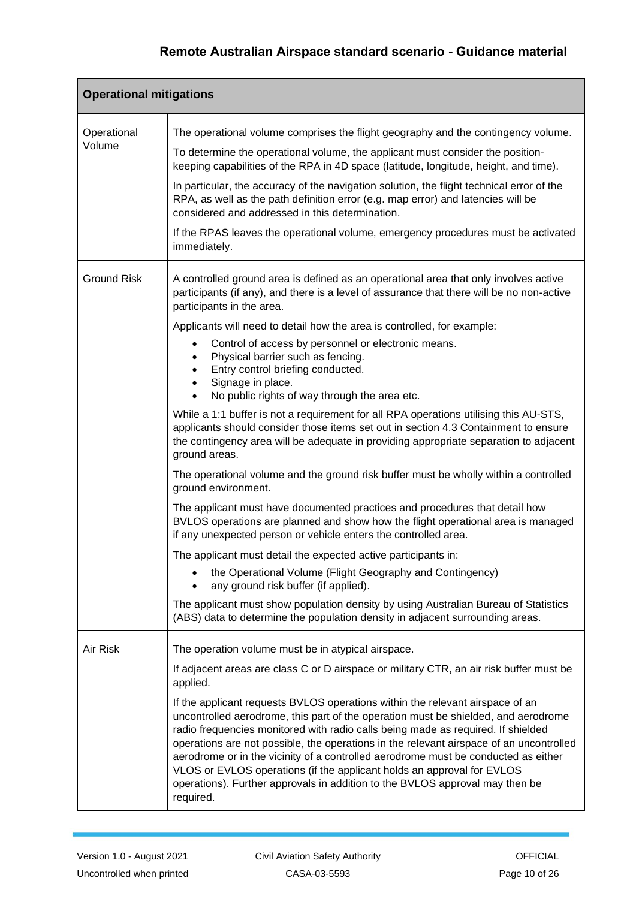| <b>Operational mitigations</b> |                                                                                                                                                                                                                                                                                                                                                                                                                                                                                                                                                                                                                 |  |  |
|--------------------------------|-----------------------------------------------------------------------------------------------------------------------------------------------------------------------------------------------------------------------------------------------------------------------------------------------------------------------------------------------------------------------------------------------------------------------------------------------------------------------------------------------------------------------------------------------------------------------------------------------------------------|--|--|
| Operational                    | The operational volume comprises the flight geography and the contingency volume.                                                                                                                                                                                                                                                                                                                                                                                                                                                                                                                               |  |  |
| Volume                         | To determine the operational volume, the applicant must consider the position-<br>keeping capabilities of the RPA in 4D space (latitude, longitude, height, and time).                                                                                                                                                                                                                                                                                                                                                                                                                                          |  |  |
|                                | In particular, the accuracy of the navigation solution, the flight technical error of the<br>RPA, as well as the path definition error (e.g. map error) and latencies will be<br>considered and addressed in this determination.                                                                                                                                                                                                                                                                                                                                                                                |  |  |
|                                | If the RPAS leaves the operational volume, emergency procedures must be activated<br>immediately.                                                                                                                                                                                                                                                                                                                                                                                                                                                                                                               |  |  |
| <b>Ground Risk</b>             | A controlled ground area is defined as an operational area that only involves active<br>participants (if any), and there is a level of assurance that there will be no non-active<br>participants in the area.                                                                                                                                                                                                                                                                                                                                                                                                  |  |  |
|                                | Applicants will need to detail how the area is controlled, for example:                                                                                                                                                                                                                                                                                                                                                                                                                                                                                                                                         |  |  |
|                                | Control of access by personnel or electronic means.<br>Physical barrier such as fencing.<br>Entry control briefing conducted.<br>Signage in place.                                                                                                                                                                                                                                                                                                                                                                                                                                                              |  |  |
|                                | No public rights of way through the area etc.                                                                                                                                                                                                                                                                                                                                                                                                                                                                                                                                                                   |  |  |
|                                | While a 1:1 buffer is not a requirement for all RPA operations utilising this AU-STS,<br>applicants should consider those items set out in section 4.3 Containment to ensure<br>the contingency area will be adequate in providing appropriate separation to adjacent<br>ground areas.                                                                                                                                                                                                                                                                                                                          |  |  |
|                                | The operational volume and the ground risk buffer must be wholly within a controlled<br>ground environment.                                                                                                                                                                                                                                                                                                                                                                                                                                                                                                     |  |  |
|                                | The applicant must have documented practices and procedures that detail how<br>BVLOS operations are planned and show how the flight operational area is managed<br>if any unexpected person or vehicle enters the controlled area.                                                                                                                                                                                                                                                                                                                                                                              |  |  |
|                                | The applicant must detail the expected active participants in:                                                                                                                                                                                                                                                                                                                                                                                                                                                                                                                                                  |  |  |
|                                | the Operational Volume (Flight Geography and Contingency)<br>any ground risk buffer (if applied).                                                                                                                                                                                                                                                                                                                                                                                                                                                                                                               |  |  |
|                                | The applicant must show population density by using Australian Bureau of Statistics<br>(ABS) data to determine the population density in adjacent surrounding areas.                                                                                                                                                                                                                                                                                                                                                                                                                                            |  |  |
| Air Risk                       | The operation volume must be in atypical airspace.                                                                                                                                                                                                                                                                                                                                                                                                                                                                                                                                                              |  |  |
|                                | If adjacent areas are class C or D airspace or military CTR, an air risk buffer must be<br>applied.                                                                                                                                                                                                                                                                                                                                                                                                                                                                                                             |  |  |
|                                | If the applicant requests BVLOS operations within the relevant airspace of an<br>uncontrolled aerodrome, this part of the operation must be shielded, and aerodrome<br>radio frequencies monitored with radio calls being made as required. If shielded<br>operations are not possible, the operations in the relevant airspace of an uncontrolled<br>aerodrome or in the vicinity of a controlled aerodrome must be conducted as either<br>VLOS or EVLOS operations (if the applicant holds an approval for EVLOS<br>operations). Further approvals in addition to the BVLOS approval may then be<br>required. |  |  |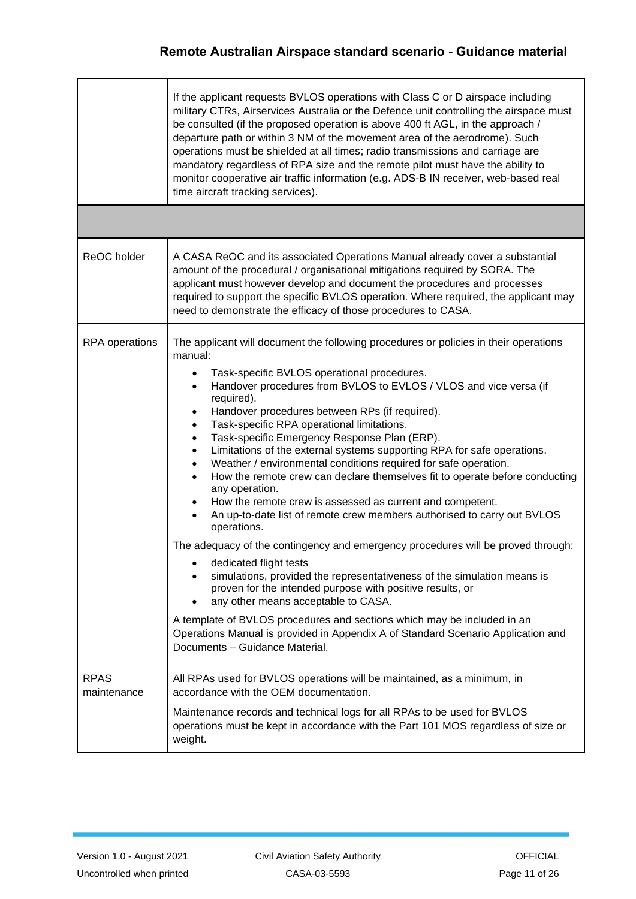|                            | If the applicant requests BVLOS operations with Class C or D airspace including<br>military CTRs, Airservices Australia or the Defence unit controlling the airspace must<br>be consulted (if the proposed operation is above 400 ft AGL, in the approach /<br>departure path or within 3 NM of the movement area of the aerodrome). Such<br>operations must be shielded at all times; radio transmissions and carriage are<br>mandatory regardless of RPA size and the remote pilot must have the ability to<br>monitor cooperative air traffic information (e.g. ADS-B IN receiver, web-based real<br>time aircraft tracking services).                                                                                                                                                                                                                                                                                                                                                                                                                                                                                                                                                                                                                                                                                                              |
|----------------------------|--------------------------------------------------------------------------------------------------------------------------------------------------------------------------------------------------------------------------------------------------------------------------------------------------------------------------------------------------------------------------------------------------------------------------------------------------------------------------------------------------------------------------------------------------------------------------------------------------------------------------------------------------------------------------------------------------------------------------------------------------------------------------------------------------------------------------------------------------------------------------------------------------------------------------------------------------------------------------------------------------------------------------------------------------------------------------------------------------------------------------------------------------------------------------------------------------------------------------------------------------------------------------------------------------------------------------------------------------------|
|                            |                                                                                                                                                                                                                                                                                                                                                                                                                                                                                                                                                                                                                                                                                                                                                                                                                                                                                                                                                                                                                                                                                                                                                                                                                                                                                                                                                        |
| ReOC holder                | A CASA ReOC and its associated Operations Manual already cover a substantial<br>amount of the procedural / organisational mitigations required by SORA. The<br>applicant must however develop and document the procedures and processes<br>required to support the specific BVLOS operation. Where required, the applicant may<br>need to demonstrate the efficacy of those procedures to CASA.                                                                                                                                                                                                                                                                                                                                                                                                                                                                                                                                                                                                                                                                                                                                                                                                                                                                                                                                                        |
| RPA operations             | The applicant will document the following procedures or policies in their operations<br>manual:<br>Task-specific BVLOS operational procedures.<br>$\bullet$<br>Handover procedures from BVLOS to EVLOS / VLOS and vice versa (if<br>$\bullet$<br>required).<br>Handover procedures between RPs (if required).<br>$\bullet$<br>Task-specific RPA operational limitations.<br>$\bullet$<br>Task-specific Emergency Response Plan (ERP).<br>$\bullet$<br>Limitations of the external systems supporting RPA for safe operations.<br>Weather / environmental conditions required for safe operation.<br>How the remote crew can declare themselves fit to operate before conducting<br>any operation.<br>How the remote crew is assessed as current and competent.<br>An up-to-date list of remote crew members authorised to carry out BVLOS<br>operations.<br>The adequacy of the contingency and emergency procedures will be proved through:<br>dedicated flight tests<br>simulations, provided the representativeness of the simulation means is<br>proven for the intended purpose with positive results, or<br>any other means acceptable to CASA.<br>A template of BVLOS procedures and sections which may be included in an<br>Operations Manual is provided in Appendix A of Standard Scenario Application and<br>Documents - Guidance Material. |
| <b>RPAS</b><br>maintenance | All RPAs used for BVLOS operations will be maintained, as a minimum, in<br>accordance with the OEM documentation.<br>Maintenance records and technical logs for all RPAs to be used for BVLOS<br>operations must be kept in accordance with the Part 101 MOS regardless of size or<br>weight.                                                                                                                                                                                                                                                                                                                                                                                                                                                                                                                                                                                                                                                                                                                                                                                                                                                                                                                                                                                                                                                          |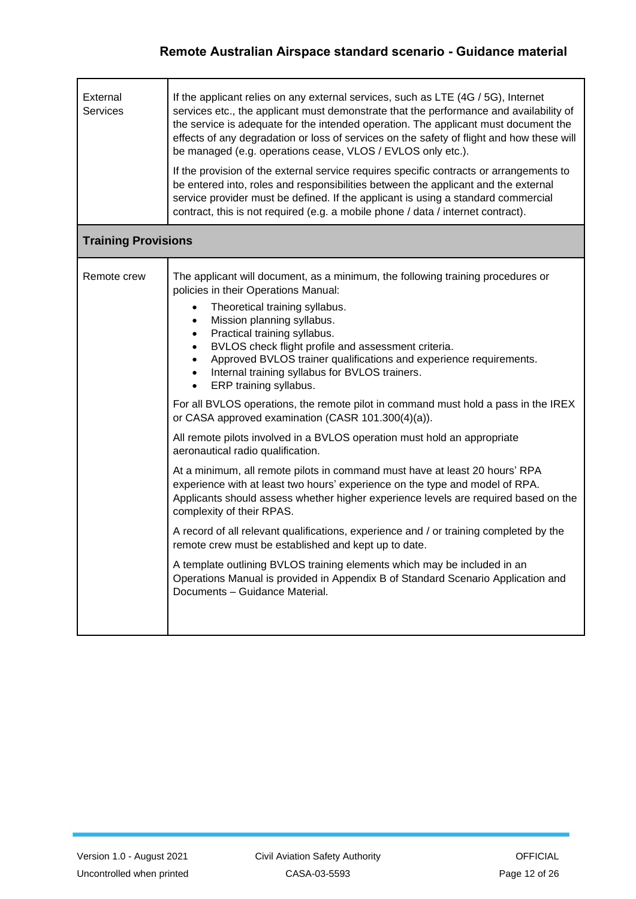| External<br><b>Services</b> | If the applicant relies on any external services, such as LTE (4G / 5G), Internet<br>services etc., the applicant must demonstrate that the performance and availability of<br>the service is adequate for the intended operation. The applicant must document the<br>effects of any degradation or loss of services on the safety of flight and how these will<br>be managed (e.g. operations cease, VLOS / EVLOS only etc.).<br>If the provision of the external service requires specific contracts or arrangements to<br>be entered into, roles and responsibilities between the applicant and the external<br>service provider must be defined. If the applicant is using a standard commercial<br>contract, this is not required (e.g. a mobile phone / data / internet contract).                                                                                                                                                                                                                                                                                                                                                                                                                                                                                                                                                                       |  |  |  |
|-----------------------------|----------------------------------------------------------------------------------------------------------------------------------------------------------------------------------------------------------------------------------------------------------------------------------------------------------------------------------------------------------------------------------------------------------------------------------------------------------------------------------------------------------------------------------------------------------------------------------------------------------------------------------------------------------------------------------------------------------------------------------------------------------------------------------------------------------------------------------------------------------------------------------------------------------------------------------------------------------------------------------------------------------------------------------------------------------------------------------------------------------------------------------------------------------------------------------------------------------------------------------------------------------------------------------------------------------------------------------------------------------------|--|--|--|
|                             | <b>Training Provisions</b>                                                                                                                                                                                                                                                                                                                                                                                                                                                                                                                                                                                                                                                                                                                                                                                                                                                                                                                                                                                                                                                                                                                                                                                                                                                                                                                                     |  |  |  |
| Remote crew                 | The applicant will document, as a minimum, the following training procedures or<br>policies in their Operations Manual:<br>Theoretical training syllabus.<br>Mission planning syllabus.<br>$\bullet$<br>Practical training syllabus.<br>$\bullet$<br>BVLOS check flight profile and assessment criteria.<br>Approved BVLOS trainer qualifications and experience requirements.<br>Internal training syllabus for BVLOS trainers.<br>ERP training syllabus.<br>For all BVLOS operations, the remote pilot in command must hold a pass in the IREX<br>or CASA approved examination (CASR 101.300(4)(a)).<br>All remote pilots involved in a BVLOS operation must hold an appropriate<br>aeronautical radio qualification.<br>At a minimum, all remote pilots in command must have at least 20 hours' RPA<br>experience with at least two hours' experience on the type and model of RPA.<br>Applicants should assess whether higher experience levels are required based on the<br>complexity of their RPAS.<br>A record of all relevant qualifications, experience and / or training completed by the<br>remote crew must be established and kept up to date.<br>A template outlining BVLOS training elements which may be included in an<br>Operations Manual is provided in Appendix B of Standard Scenario Application and<br>Documents - Guidance Material. |  |  |  |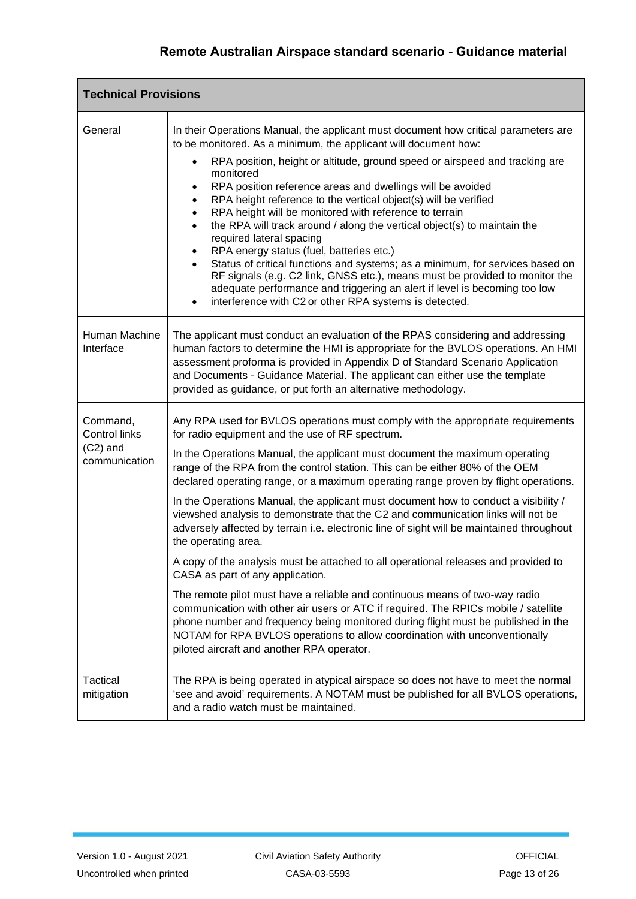| <b>Technical Provisions</b>   |                                                                                                                                                                                                                                                                                                                                                                                                                                                                                                                                                                                                                                                                                                                                                                                       |  |
|-------------------------------|---------------------------------------------------------------------------------------------------------------------------------------------------------------------------------------------------------------------------------------------------------------------------------------------------------------------------------------------------------------------------------------------------------------------------------------------------------------------------------------------------------------------------------------------------------------------------------------------------------------------------------------------------------------------------------------------------------------------------------------------------------------------------------------|--|
| General                       | In their Operations Manual, the applicant must document how critical parameters are<br>to be monitored. As a minimum, the applicant will document how:                                                                                                                                                                                                                                                                                                                                                                                                                                                                                                                                                                                                                                |  |
|                               | RPA position, height or altitude, ground speed or airspeed and tracking are<br>monitored<br>RPA position reference areas and dwellings will be avoided<br>RPA height reference to the vertical object(s) will be verified<br>$\bullet$<br>RPA height will be monitored with reference to terrain<br>$\bullet$<br>the RPA will track around / along the vertical object(s) to maintain the<br>$\bullet$<br>required lateral spacing<br>RPA energy status (fuel, batteries etc.)<br>Status of critical functions and systems; as a minimum, for services based on<br>RF signals (e.g. C2 link, GNSS etc.), means must be provided to monitor the<br>adequate performance and triggering an alert if level is becoming too low<br>interference with C2 or other RPA systems is detected. |  |
| Human Machine<br>Interface    | The applicant must conduct an evaluation of the RPAS considering and addressing<br>human factors to determine the HMI is appropriate for the BVLOS operations. An HMI<br>assessment proforma is provided in Appendix D of Standard Scenario Application<br>and Documents - Guidance Material. The applicant can either use the template<br>provided as guidance, or put forth an alternative methodology.                                                                                                                                                                                                                                                                                                                                                                             |  |
| Command,<br>Control links     | Any RPA used for BVLOS operations must comply with the appropriate requirements<br>for radio equipment and the use of RF spectrum.                                                                                                                                                                                                                                                                                                                                                                                                                                                                                                                                                                                                                                                    |  |
| $(C2)$ and<br>communication   | In the Operations Manual, the applicant must document the maximum operating<br>range of the RPA from the control station. This can be either 80% of the OEM<br>declared operating range, or a maximum operating range proven by flight operations.                                                                                                                                                                                                                                                                                                                                                                                                                                                                                                                                    |  |
|                               | In the Operations Manual, the applicant must document how to conduct a visibility /<br>viewshed analysis to demonstrate that the C2 and communication links will not be<br>adversely affected by terrain i.e. electronic line of sight will be maintained throughout<br>the operating area.                                                                                                                                                                                                                                                                                                                                                                                                                                                                                           |  |
|                               | A copy of the analysis must be attached to all operational releases and provided to<br>CASA as part of any application.                                                                                                                                                                                                                                                                                                                                                                                                                                                                                                                                                                                                                                                               |  |
|                               | The remote pilot must have a reliable and continuous means of two-way radio<br>communication with other air users or ATC if required. The RPICs mobile / satellite<br>phone number and frequency being monitored during flight must be published in the<br>NOTAM for RPA BVLOS operations to allow coordination with unconventionally<br>piloted aircraft and another RPA operator.                                                                                                                                                                                                                                                                                                                                                                                                   |  |
| <b>Tactical</b><br>mitigation | The RPA is being operated in atypical airspace so does not have to meet the normal<br>'see and avoid' requirements. A NOTAM must be published for all BVLOS operations,<br>and a radio watch must be maintained.                                                                                                                                                                                                                                                                                                                                                                                                                                                                                                                                                                      |  |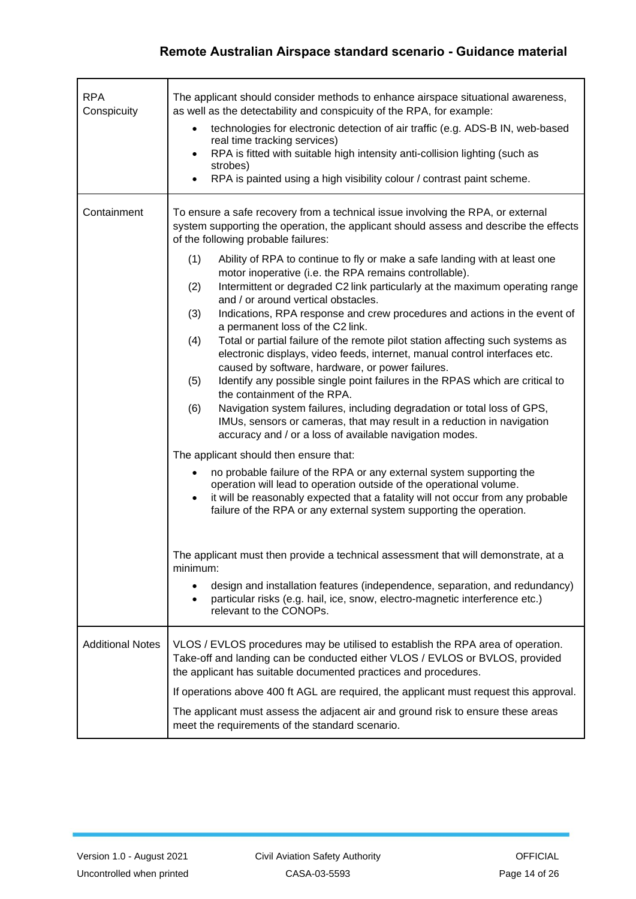| <b>RPA</b><br>Conspicuity | The applicant should consider methods to enhance airspace situational awareness,<br>as well as the detectability and conspicuity of the RPA, for example:<br>technologies for electronic detection of air traffic (e.g. ADS-B IN, web-based<br>$\bullet$<br>real time tracking services)<br>RPA is fitted with suitable high intensity anti-collision lighting (such as<br>strobes)<br>RPA is painted using a high visibility colour / contrast paint scheme.                                                                                                                                                                                                                                                                                                                                                                                                                                                                                                                                                                                                                                                                                                                                                                                                                                                                                                                                                                                                                                                                                                              |
|---------------------------|----------------------------------------------------------------------------------------------------------------------------------------------------------------------------------------------------------------------------------------------------------------------------------------------------------------------------------------------------------------------------------------------------------------------------------------------------------------------------------------------------------------------------------------------------------------------------------------------------------------------------------------------------------------------------------------------------------------------------------------------------------------------------------------------------------------------------------------------------------------------------------------------------------------------------------------------------------------------------------------------------------------------------------------------------------------------------------------------------------------------------------------------------------------------------------------------------------------------------------------------------------------------------------------------------------------------------------------------------------------------------------------------------------------------------------------------------------------------------------------------------------------------------------------------------------------------------|
| Containment               | To ensure a safe recovery from a technical issue involving the RPA, or external<br>system supporting the operation, the applicant should assess and describe the effects<br>of the following probable failures:<br>(1)<br>Ability of RPA to continue to fly or make a safe landing with at least one<br>motor inoperative (i.e. the RPA remains controllable).<br>Intermittent or degraded C2 link particularly at the maximum operating range<br>(2)<br>and / or around vertical obstacles.<br>Indications, RPA response and crew procedures and actions in the event of<br>(3)<br>a permanent loss of the C2 link.<br>Total or partial failure of the remote pilot station affecting such systems as<br>(4)<br>electronic displays, video feeds, internet, manual control interfaces etc.<br>caused by software, hardware, or power failures.<br>(5)<br>Identify any possible single point failures in the RPAS which are critical to<br>the containment of the RPA.<br>Navigation system failures, including degradation or total loss of GPS,<br>(6)<br>IMUs, sensors or cameras, that may result in a reduction in navigation<br>accuracy and / or a loss of available navigation modes.<br>The applicant should then ensure that:<br>no probable failure of the RPA or any external system supporting the<br>$\bullet$<br>operation will lead to operation outside of the operational volume.<br>it will be reasonably expected that a fatality will not occur from any probable<br>$\bullet$<br>failure of the RPA or any external system supporting the operation. |
|                           | The applicant must then provide a technical assessment that will demonstrate, at a<br>minimum:<br>design and installation features (independence, separation, and redundancy)<br>particular risks (e.g. hail, ice, snow, electro-magnetic interference etc.)<br>٠<br>relevant to the CONOPs.                                                                                                                                                                                                                                                                                                                                                                                                                                                                                                                                                                                                                                                                                                                                                                                                                                                                                                                                                                                                                                                                                                                                                                                                                                                                               |
| <b>Additional Notes</b>   | VLOS / EVLOS procedures may be utilised to establish the RPA area of operation.<br>Take-off and landing can be conducted either VLOS / EVLOS or BVLOS, provided<br>the applicant has suitable documented practices and procedures.<br>If operations above 400 ft AGL are required, the applicant must request this approval.<br>The applicant must assess the adjacent air and ground risk to ensure these areas<br>meet the requirements of the standard scenario.                                                                                                                                                                                                                                                                                                                                                                                                                                                                                                                                                                                                                                                                                                                                                                                                                                                                                                                                                                                                                                                                                                        |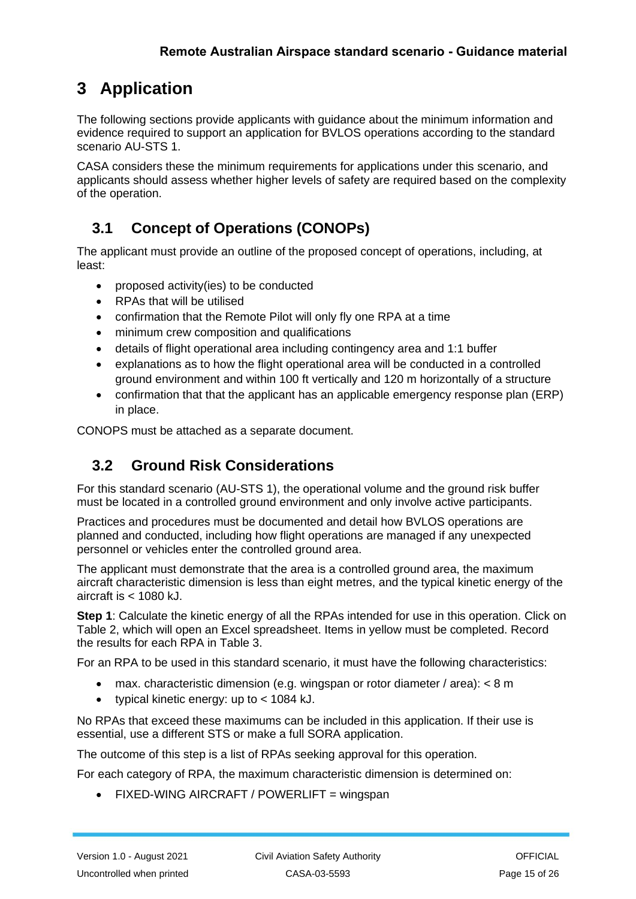# <span id="page-14-0"></span>**3 Application**

 The following sections provide applicants with guidance about the minimum information and evidence required to support an application for BVLOS operations according to the standard scenario AU-STS 1.

 applicants should assess whether higher levels of safety are required based on the complexity CASA considers these the minimum requirements for applications under this scenario, and of the operation.

## <span id="page-14-1"></span>**3.1 Concept of Operations (CONOPs)**

 The applicant must provide an outline of the proposed concept of operations, including, at least:

- proposed activity(ies) to be conducted
- RPAs that will be utilised
- confirmation that the Remote Pilot will only fly one RPA at a time
- minimum crew composition and qualifications
- details of flight operational area including contingency area and 1:1 buffer
- • explanations as to how the flight operational area will be conducted in a controlled ground environment and within 100 ft vertically and 120 m horizontally of a structure
- • confirmation that that the applicant has an applicable emergency response plan (ERP) in place.

<span id="page-14-2"></span>CONOPS must be attached as a separate document.

## **3.2 Ground Risk Considerations**

 For this standard scenario (AU-STS 1), the operational volume and the ground risk buffer must be located in a controlled ground environment and only involve active participants.

 Practices and procedures must be documented and detail how BVLOS operations are planned and conducted, including how flight operations are managed if any unexpected personnel or vehicles enter the controlled ground area.

 The applicant must demonstrate that the area is a controlled ground area, the maximum aircraft characteristic dimension is less than eight metres, and the typical kinetic energy of the aircraft is < 1080 kJ.

 **Step 1**: Calculate the kinetic energy of all the RPAs intended for use in this operation. Click on Table 2, which will open an Excel spreadsheet. Items in yellow must be completed. Record the results for each RPA in Table 3.

For an RPA to be used in this standard scenario, it must have the following characteristics:

- max. characteristic dimension (e.g. wingspan or rotor diameter / area): < 8 m
- typical kinetic energy: up to < 1084 kJ.

 No RPAs that exceed these maximums can be included in this application. If their use is essential, use a different STS or make a full SORA application.

The outcome of this step is a list of RPAs seeking approval for this operation.

For each category of RPA, the maximum characteristic dimension is determined on:

• FIXED-WING AIRCRAFT / POWERLIFT = wingspan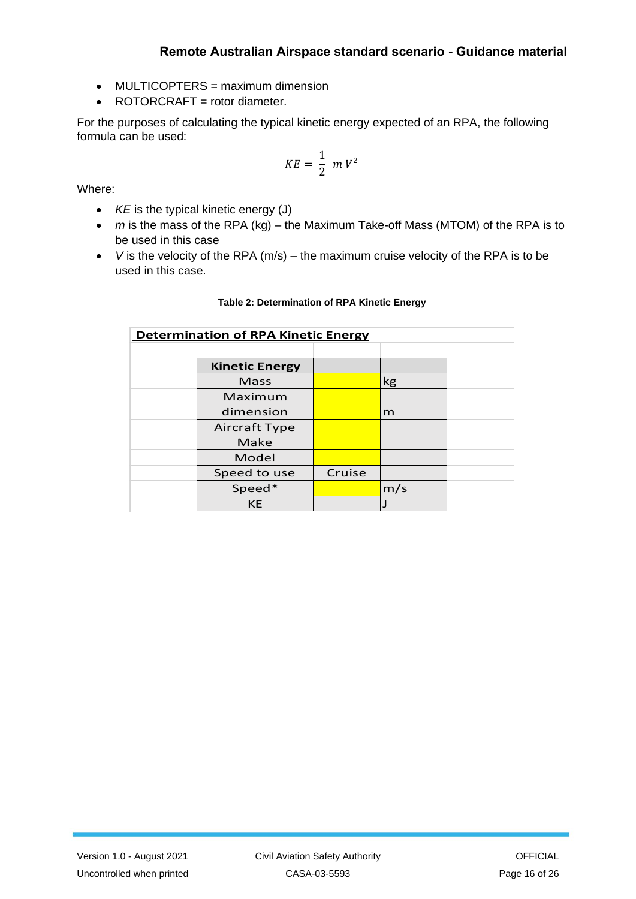- MULTICOPTERS = maximum dimension
- ROTORCRAFT = rotor diameter.

 For the purposes of calculating the typical kinetic energy expected of an RPA, the following formula can be used:

$$
KE = \frac{1}{2} \ m \ V^2
$$

Where:

- *KE* is the typical kinetic energy (J)
- • *m* is the mass of the RPA (kg) the Maximum Take-off Mass (MTOM) of the RPA is to be used in this case
- • *V* is the velocity of the RPA (m/s) the maximum cruise velocity of the RPA is to be used in this case.

#### **Table 2: Determination of RPA Kinetic Energy**

| <b>Determination of RPA Kinetic Energy</b> |                       |        |     |  |
|--------------------------------------------|-----------------------|--------|-----|--|
|                                            |                       |        |     |  |
|                                            | <b>Kinetic Energy</b> |        |     |  |
|                                            | Mass                  |        | kg  |  |
|                                            | Maximum               |        |     |  |
|                                            | dimension             |        | m   |  |
|                                            | Aircraft Type         |        |     |  |
|                                            | Make                  |        |     |  |
|                                            | Model                 |        |     |  |
|                                            | Speed to use          | Cruise |     |  |
|                                            | Speed*                |        | m/s |  |
|                                            | <b>KE</b>             |        |     |  |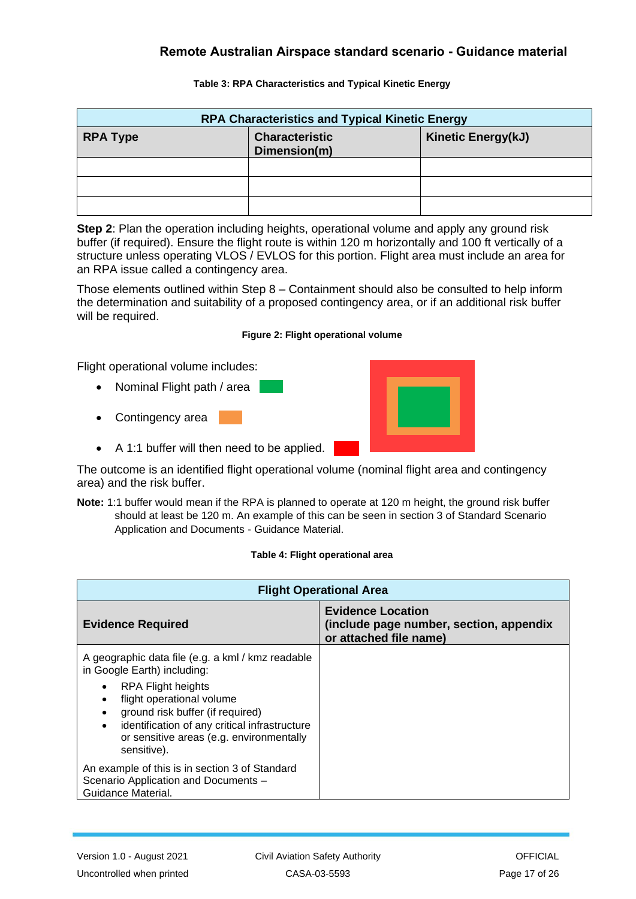| <b>RPA Characteristics and Typical Kinetic Energy</b> |                                       |                           |  |
|-------------------------------------------------------|---------------------------------------|---------------------------|--|
| <b>RPA Type</b>                                       | <b>Characteristic</b><br>Dimension(m) | <b>Kinetic Energy(kJ)</b> |  |
|                                                       |                                       |                           |  |
|                                                       |                                       |                           |  |
|                                                       |                                       |                           |  |

#### **Table 3: RPA Characteristics and Typical Kinetic Energy**

 **Step 2**: Plan the operation including heights, operational volume and apply any ground risk buffer (if required). Ensure the flight route is within 120 m horizontally and 100 ft vertically of a structure unless operating VLOS / EVLOS for this portion. Flight area must include an area for an RPA issue called a contingency area.

 the determination and suitability of a proposed contingency area, or if an additional risk buffer will be required. Those elements outlined within Step 8 – Containment should also be consulted to help inform

#### **Figure 2: Flight operational volume**

Flight operational volume includes:

- Nominal Flight path / area
- Contingency area
- A 1:1 buffer will then need to be applied.



 **Note:** 1:1 buffer would mean if the RPA is planned to operate at 120 m height, the ground risk buffer should at least be 120 m. An example of this can be seen in section 3 of Standard Scenario Application and Documents - Guidance Material.

#### **Table 4: Flight operational area**

| <b>Flight Operational Area</b>                                                                                                                                                                                                              |                                                                                               |  |
|---------------------------------------------------------------------------------------------------------------------------------------------------------------------------------------------------------------------------------------------|-----------------------------------------------------------------------------------------------|--|
| <b>Evidence Required</b>                                                                                                                                                                                                                    | <b>Evidence Location</b><br>(include page number, section, appendix<br>or attached file name) |  |
| A geographic data file (e.g. a kml / kmz readable<br>in Google Earth) including:                                                                                                                                                            |                                                                                               |  |
| RPA Flight heights<br>٠<br>flight operational volume<br>$\bullet$<br>ground risk buffer (if required)<br>$\bullet$<br>identification of any critical infrastructure<br>$\bullet$<br>or sensitive areas (e.g. environmentally<br>sensitive). |                                                                                               |  |
| An example of this is in section 3 of Standard<br>Scenario Application and Documents -<br>Guidance Material.                                                                                                                                |                                                                                               |  |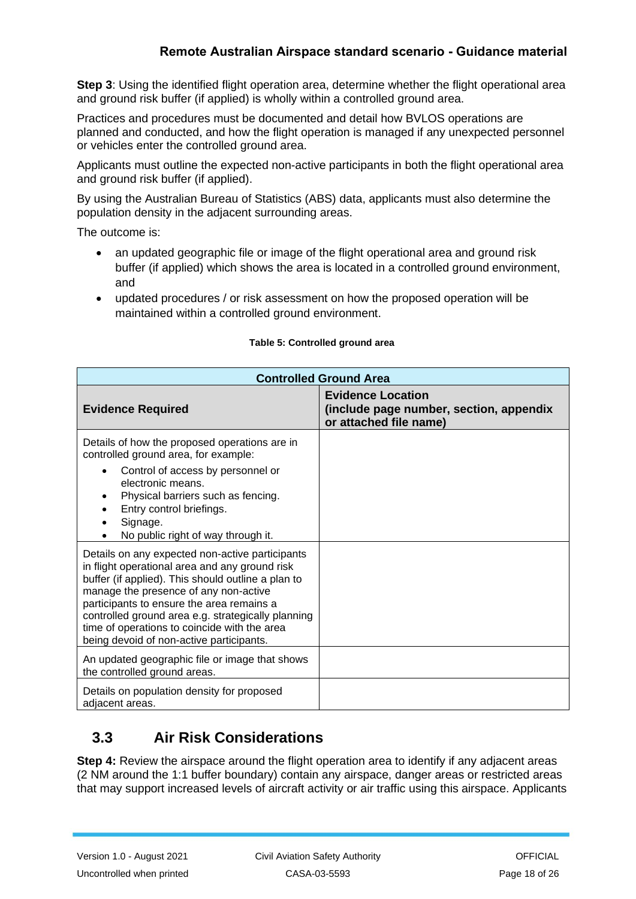**Step 3**: Using the identified flight operation area, determine whether the flight operational area and ground risk buffer (if applied) is wholly within a controlled ground area.

 Practices and procedures must be documented and detail how BVLOS operations are planned and conducted, and how the flight operation is managed if any unexpected personnel or vehicles enter the controlled ground area.

 Applicants must outline the expected non-active participants in both the flight operational area and ground risk buffer (if applied).

 By using the Australian Bureau of Statistics (ABS) data, applicants must also determine the population density in the adjacent surrounding areas.

The outcome is:

- • an updated geographic file or image of the flight operational area and ground risk buffer (if applied) which shows the area is located in a controlled ground environment, and
- • updated procedures / or risk assessment on how the proposed operation will be maintained within a controlled ground environment.

| <b>Controlled Ground Area</b>                                                                                                                                                                                                                                                                                                                                                                   |                                                                                               |  |
|-------------------------------------------------------------------------------------------------------------------------------------------------------------------------------------------------------------------------------------------------------------------------------------------------------------------------------------------------------------------------------------------------|-----------------------------------------------------------------------------------------------|--|
| <b>Evidence Required</b>                                                                                                                                                                                                                                                                                                                                                                        | <b>Evidence Location</b><br>(include page number, section, appendix<br>or attached file name) |  |
| Details of how the proposed operations are in<br>controlled ground area, for example:                                                                                                                                                                                                                                                                                                           |                                                                                               |  |
| Control of access by personnel or<br>electronic means.<br>Physical barriers such as fencing.<br>Entry control briefings.<br>Signage.<br>No public right of way through it.                                                                                                                                                                                                                      |                                                                                               |  |
| Details on any expected non-active participants<br>in flight operational area and any ground risk<br>buffer (if applied). This should outline a plan to<br>manage the presence of any non-active<br>participants to ensure the area remains a<br>controlled ground area e.g. strategically planning<br>time of operations to coincide with the area<br>being devoid of non-active participants. |                                                                                               |  |
| An updated geographic file or image that shows<br>the controlled ground areas.                                                                                                                                                                                                                                                                                                                  |                                                                                               |  |
| Details on population density for proposed<br>adjacent areas.                                                                                                                                                                                                                                                                                                                                   |                                                                                               |  |

#### **Table 5: Controlled ground area**

## <span id="page-17-0"></span> **3.3 Air Risk Considerations**

 **Step 4:** Review the airspace around the flight operation area to identify if any adjacent areas (2 NM around the 1:1 buffer boundary) contain any airspace, danger areas or restricted areas that may support increased levels of aircraft activity or air traffic using this airspace. Applicants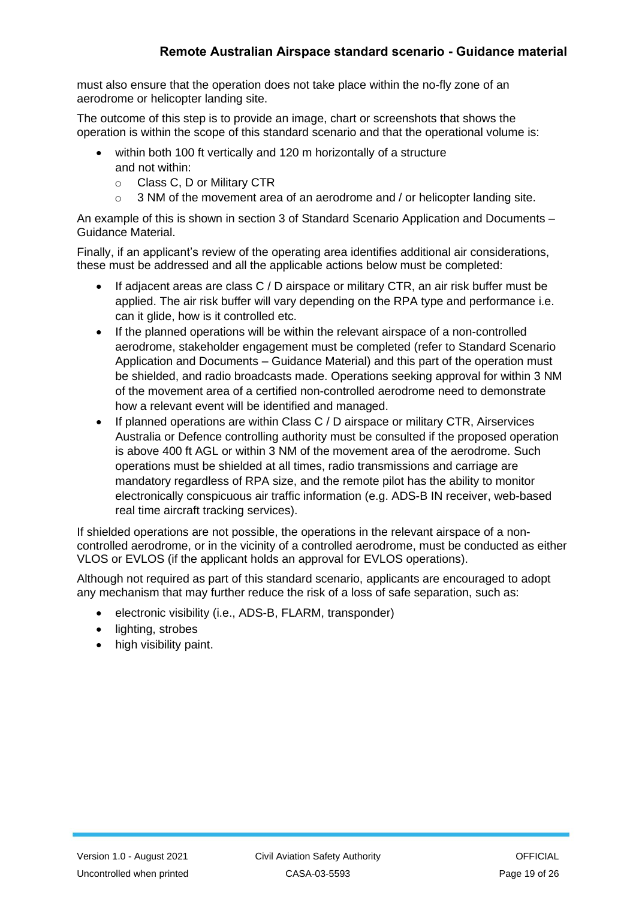must also ensure that the operation does not take place within the no-fly zone of an aerodrome or helicopter landing site.

 The outcome of this step is to provide an image, chart or screenshots that shows the operation is within the scope of this standard scenario and that the operational volume is:

- within both 100 ft vertically and 120 m horizontally of a structure and not within:
	- o Class C, D or Military CTR
	- $\circ$  3 NM of the movement area of an aerodrome and / or helicopter landing site.

 An example of this is shown in section 3 of Standard Scenario Application and Documents – Guidance Material.

 Finally, if an applicant's review of the operating area identifies additional air considerations, these must be addressed and all the applicable actions below must be completed:

- • If adjacent areas are class C / D airspace or military CTR, an air risk buffer must be applied. The air risk buffer will vary depending on the RPA type and performance i.e. can it glide, how is it controlled etc.
- • If the planned operations will be within the relevant airspace of a non-controlled aerodrome, stakeholder engagement must be completed (refer to Standard Scenario Application and Documents – Guidance Material) and this part of the operation must be shielded, and radio broadcasts made. Operations seeking approval for within 3 NM of the movement area of a certified non-controlled aerodrome need to demonstrate how a relevant event will be identified and managed.
- • If planned operations are within Class C / D airspace or military CTR, Airservices Australia or Defence controlling authority must be consulted if the proposed operation is above 400 ft AGL or within 3 NM of the movement area of the aerodrome. Such operations must be shielded at all times, radio transmissions and carriage are mandatory regardless of RPA size, and the remote pilot has the ability to monitor electronically conspicuous air traffic information (e.g. ADS-B IN receiver, web-based real time aircraft tracking services).

 If shielded operations are not possible, the operations in the relevant airspace of a non- controlled aerodrome, or in the vicinity of a controlled aerodrome, must be conducted as either VLOS or EVLOS (if the applicant holds an approval for EVLOS operations).

 Although not required as part of this standard scenario, applicants are encouraged to adopt any mechanism that may further reduce the risk of a loss of safe separation, such as:

- electronic visibility (i.e., ADS-B, FLARM, transponder)
- lighting, strobes
- high visibility paint.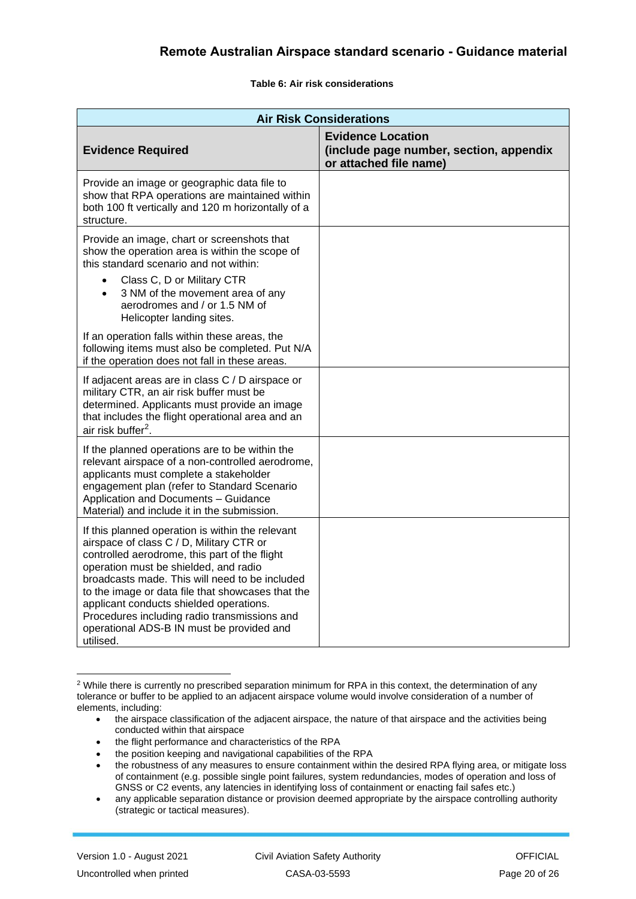**Table 6: Air risk considerations** 

| <b>Air Risk Considerations</b>                                                                                                                                                                                                                                                                                                                                                                                                                     |                                                                                               |  |  |
|----------------------------------------------------------------------------------------------------------------------------------------------------------------------------------------------------------------------------------------------------------------------------------------------------------------------------------------------------------------------------------------------------------------------------------------------------|-----------------------------------------------------------------------------------------------|--|--|
| <b>Evidence Required</b>                                                                                                                                                                                                                                                                                                                                                                                                                           | <b>Evidence Location</b><br>(include page number, section, appendix<br>or attached file name) |  |  |
| Provide an image or geographic data file to<br>show that RPA operations are maintained within<br>both 100 ft vertically and 120 m horizontally of a<br>structure.                                                                                                                                                                                                                                                                                  |                                                                                               |  |  |
| Provide an image, chart or screenshots that<br>show the operation area is within the scope of<br>this standard scenario and not within:<br>Class C, D or Military CTR<br>$\bullet$<br>3 NM of the movement area of any<br>$\bullet$<br>aerodromes and / or 1.5 NM of<br>Helicopter landing sites.                                                                                                                                                  |                                                                                               |  |  |
| If an operation falls within these areas, the<br>following items must also be completed. Put N/A<br>if the operation does not fall in these areas.                                                                                                                                                                                                                                                                                                 |                                                                                               |  |  |
| If adjacent areas are in class C / D airspace or<br>military CTR, an air risk buffer must be<br>determined. Applicants must provide an image<br>that includes the flight operational area and an<br>air risk buffer <sup>2</sup> .                                                                                                                                                                                                                 |                                                                                               |  |  |
| If the planned operations are to be within the<br>relevant airspace of a non-controlled aerodrome,<br>applicants must complete a stakeholder<br>engagement plan (refer to Standard Scenario<br>Application and Documents - Guidance<br>Material) and include it in the submission.                                                                                                                                                                 |                                                                                               |  |  |
| If this planned operation is within the relevant<br>airspace of class C / D, Military CTR or<br>controlled aerodrome, this part of the flight<br>operation must be shielded, and radio<br>broadcasts made. This will need to be included<br>to the image or data file that showcases that the<br>applicant conducts shielded operations.<br>Procedures including radio transmissions and<br>operational ADS-B IN must be provided and<br>utilised. |                                                                                               |  |  |

 $2$  While there is currently no prescribed separation minimum for RPA in this context, the determination of any tolerance or buffer to be applied to an adjacent airspace volume would involve consideration of a number of elements, including:

- the airspace classification of the adjacent airspace, the nature of that airspace and the activities being conducted within that airspace
- the flight performance and characteristics of the RPA
- the position keeping and navigational capabilities of the RPA

 of containment (e.g. possible single point failures, system redundancies, modes of operation and loss of the robustness of any measures to ensure containment within the desired RPA flying area, or mitigate loss GNSS or C2 events, any latencies in identifying loss of containment or enacting fail safes etc.)

<sup>•</sup> any applicable separation distance or provision deemed appropriate by the airspace controlling authority (strategic or tactical measures).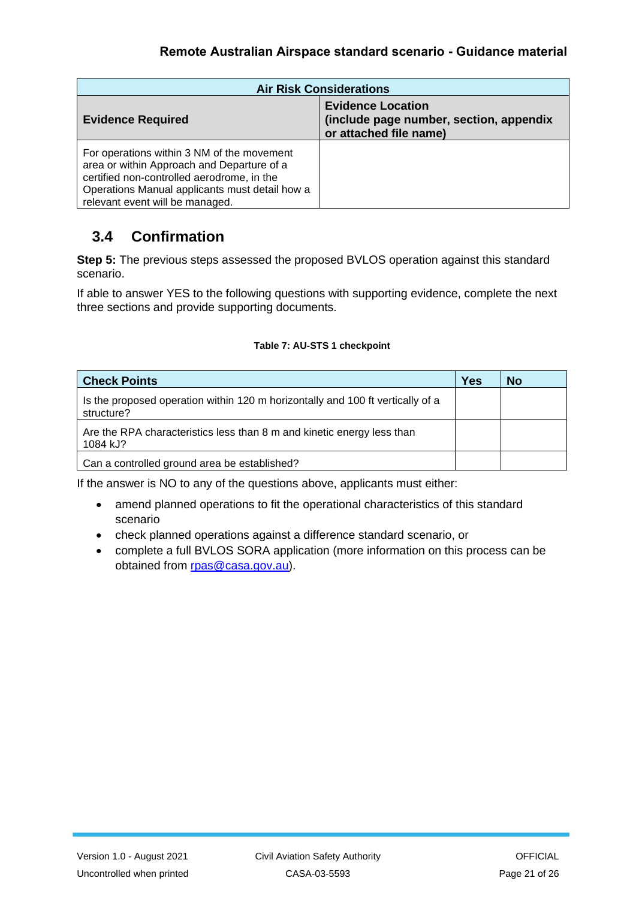| <b>Air Risk Considerations</b>                                                                                                                                                                                              |                                                                                               |  |
|-----------------------------------------------------------------------------------------------------------------------------------------------------------------------------------------------------------------------------|-----------------------------------------------------------------------------------------------|--|
| <b>Evidence Required</b>                                                                                                                                                                                                    | <b>Evidence Location</b><br>(include page number, section, appendix<br>or attached file name) |  |
| For operations within 3 NM of the movement<br>area or within Approach and Departure of a<br>certified non-controlled aerodrome, in the<br>Operations Manual applicants must detail how a<br>relevant event will be managed. |                                                                                               |  |

# <span id="page-20-0"></span>**3.4 Confirmation**

**Step 5:** The previous steps assessed the proposed BVLOS operation against this standard scenario.

 If able to answer YES to the following questions with supporting evidence, complete the next three sections and provide supporting documents.

#### **Table 7: AU-STS 1 checkpoint**

| <b>Check Points</b>                                                                          | <b>Yes</b> | <b>No</b> |
|----------------------------------------------------------------------------------------------|------------|-----------|
| Is the proposed operation within 120 m horizontally and 100 ft vertically of a<br>structure? |            |           |
| Are the RPA characteristics less than 8 m and kinetic energy less than<br>1084 kJ?           |            |           |
| Can a controlled ground area be established?                                                 |            |           |

If the answer is NO to any of the questions above, applicants must either:

- • amend planned operations to fit the operational characteristics of this standard scenario
- check planned operations against a difference standard scenario, or
- • complete a full BVLOS SORA application (more information on this process can be obtained from [rpas@casa.gov.au\)](mailto:rpas@casa.gov.au).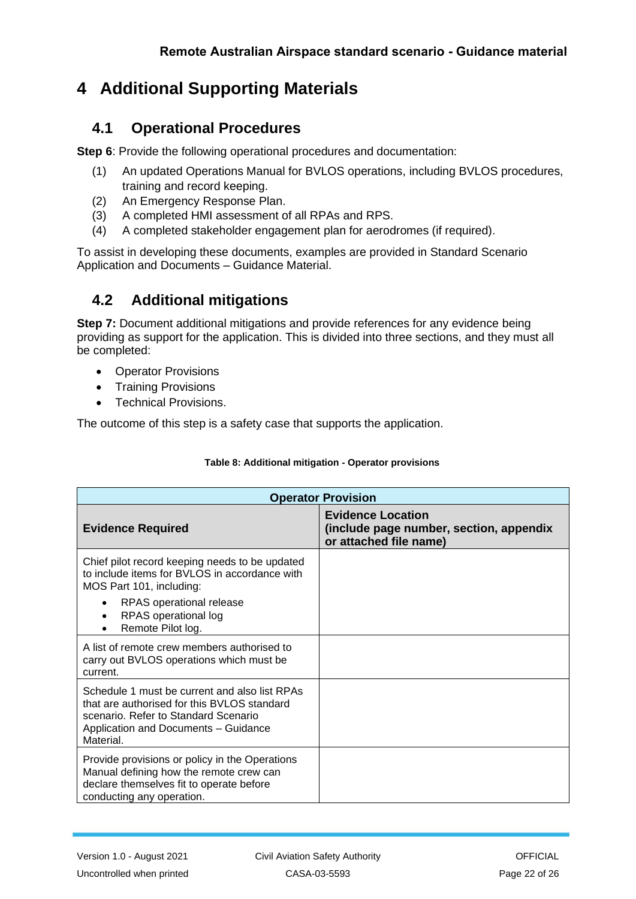# <span id="page-21-0"></span>**4 Additional Supporting Materials**

## <span id="page-21-1"></span>**4.1 Operational Procedures**

**Step 6**: Provide the following operational procedures and documentation:

- (1) An updated Operations Manual for BVLOS operations, including BVLOS procedures, training and record keeping.
- (2) An Emergency Response Plan.
- (3) A completed HMI assessment of all RPAs and RPS.
- (4) A completed stakeholder engagement plan for aerodromes (if required).

 To assist in developing these documents, examples are provided in Standard Scenario Application and Documents – Guidance Material.

## <span id="page-21-2"></span>**4.2 Additional mitigations**

 **Step 7:** Document additional mitigations and provide references for any evidence being providing as support for the application. This is divided into three sections, and they must all be completed:

- Operator Provisions
- Training Provisions
- Technical Provisions.

The outcome of this step is a safety case that supports the application.

| <b>Operator Provision</b>                                                                                                                                                                                         |                                                                                               |  |
|-------------------------------------------------------------------------------------------------------------------------------------------------------------------------------------------------------------------|-----------------------------------------------------------------------------------------------|--|
| <b>Evidence Required</b>                                                                                                                                                                                          | <b>Evidence Location</b><br>(include page number, section, appendix<br>or attached file name) |  |
| Chief pilot record keeping needs to be updated<br>to include items for BVLOS in accordance with<br>MOS Part 101, including:<br>RPAS operational release<br>$\bullet$<br>RPAS operational log<br>Remote Pilot log. |                                                                                               |  |
| A list of remote crew members authorised to<br>carry out BVLOS operations which must be<br>current.                                                                                                               |                                                                                               |  |
| Schedule 1 must be current and also list RPAs<br>that are authorised for this BVLOS standard<br>scenario. Refer to Standard Scenario<br>Application and Documents - Guidance<br>Material.                         |                                                                                               |  |
| Provide provisions or policy in the Operations<br>Manual defining how the remote crew can<br>declare themselves fit to operate before<br>conducting any operation.                                                |                                                                                               |  |

### **Table 8: Additional mitigation - Operator provisions**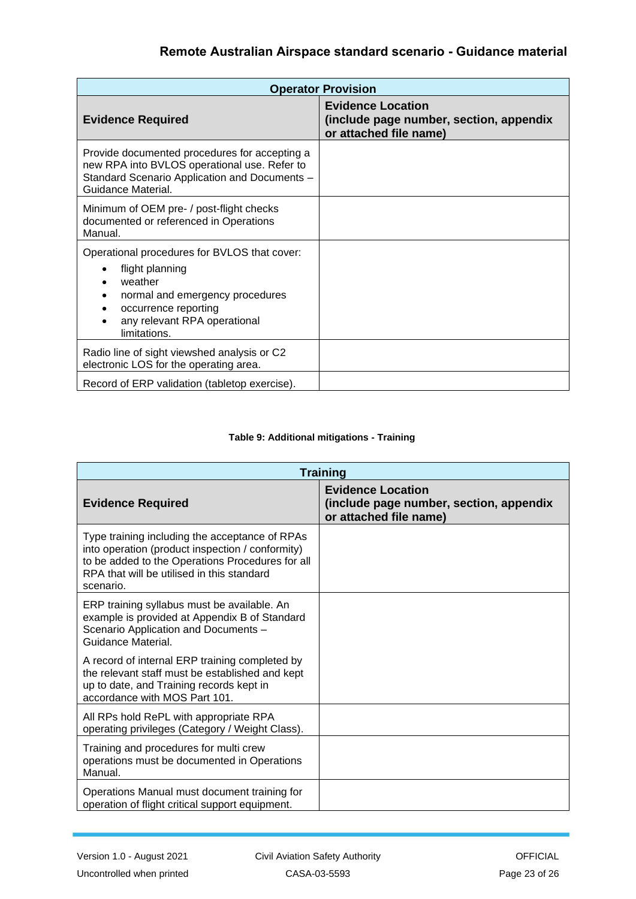| <b>Operator Provision</b>                                                                                                                                                             |                                                                                               |  |
|---------------------------------------------------------------------------------------------------------------------------------------------------------------------------------------|-----------------------------------------------------------------------------------------------|--|
| <b>Evidence Required</b>                                                                                                                                                              | <b>Evidence Location</b><br>(include page number, section, appendix<br>or attached file name) |  |
| Provide documented procedures for accepting a<br>new RPA into BVLOS operational use. Refer to<br>Standard Scenario Application and Documents -<br>Guidance Material.                  |                                                                                               |  |
| Minimum of OEM pre- / post-flight checks<br>documented or referenced in Operations<br>Manual.                                                                                         |                                                                                               |  |
| Operational procedures for BVLOS that cover:<br>flight planning<br>weather<br>normal and emergency procedures<br>occurrence reporting<br>any relevant RPA operational<br>limitations. |                                                                                               |  |
| Radio line of sight viewshed analysis or C2<br>electronic LOS for the operating area.                                                                                                 |                                                                                               |  |
| Record of ERP validation (tabletop exercise).                                                                                                                                         |                                                                                               |  |

#### **Table 9: Additional mitigations - Training**

| <b>Training</b>                                                                                                                                                                                                   |                                                                                               |  |
|-------------------------------------------------------------------------------------------------------------------------------------------------------------------------------------------------------------------|-----------------------------------------------------------------------------------------------|--|
| <b>Evidence Required</b>                                                                                                                                                                                          | <b>Evidence Location</b><br>(include page number, section, appendix<br>or attached file name) |  |
| Type training including the acceptance of RPAs<br>into operation (product inspection / conformity)<br>to be added to the Operations Procedures for all<br>RPA that will be utilised in this standard<br>scenario. |                                                                                               |  |
| ERP training syllabus must be available. An<br>example is provided at Appendix B of Standard<br>Scenario Application and Documents -<br>Guidance Material.                                                        |                                                                                               |  |
| A record of internal ERP training completed by<br>the relevant staff must be established and kept<br>up to date, and Training records kept in<br>accordance with MOS Part 101.                                    |                                                                                               |  |
| All RPs hold RePL with appropriate RPA<br>operating privileges (Category / Weight Class).                                                                                                                         |                                                                                               |  |
| Training and procedures for multi crew<br>operations must be documented in Operations<br>Manual.                                                                                                                  |                                                                                               |  |
| Operations Manual must document training for<br>operation of flight critical support equipment.                                                                                                                   |                                                                                               |  |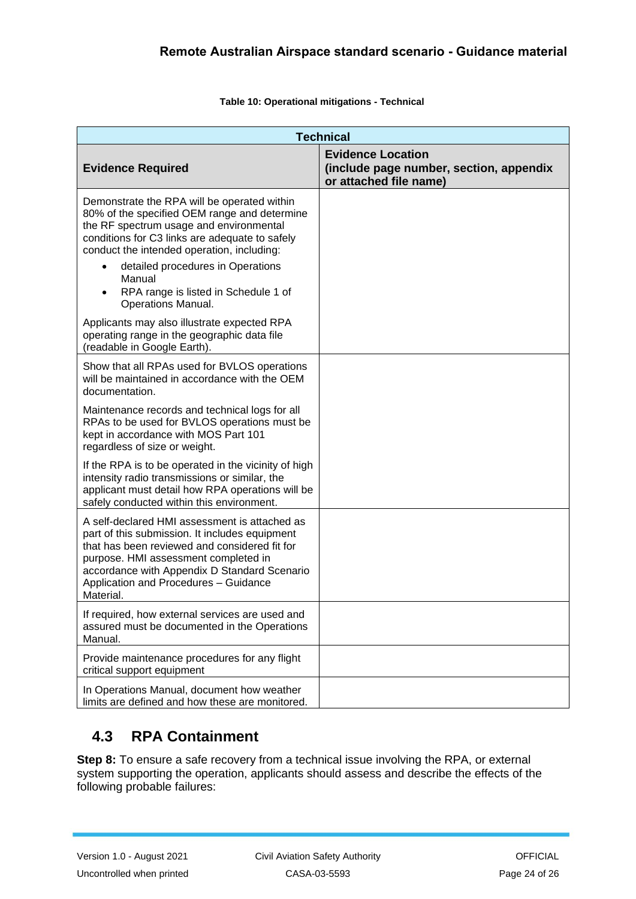#### **Table 10: Operational mitigations - Technical**

| <b>Technical</b>                                                                                                                                                                                                                                                                                                                                                        |                                                                                               |
|-------------------------------------------------------------------------------------------------------------------------------------------------------------------------------------------------------------------------------------------------------------------------------------------------------------------------------------------------------------------------|-----------------------------------------------------------------------------------------------|
| <b>Evidence Required</b>                                                                                                                                                                                                                                                                                                                                                | <b>Evidence Location</b><br>(include page number, section, appendix<br>or attached file name) |
| Demonstrate the RPA will be operated within<br>80% of the specified OEM range and determine<br>the RF spectrum usage and environmental<br>conditions for C3 links are adequate to safely<br>conduct the intended operation, including:<br>detailed procedures in Operations<br>$\bullet$<br>Manual<br>RPA range is listed in Schedule 1 of<br><b>Operations Manual.</b> |                                                                                               |
| Applicants may also illustrate expected RPA<br>operating range in the geographic data file<br>(readable in Google Earth).                                                                                                                                                                                                                                               |                                                                                               |
| Show that all RPAs used for BVLOS operations<br>will be maintained in accordance with the OEM<br>documentation.                                                                                                                                                                                                                                                         |                                                                                               |
| Maintenance records and technical logs for all<br>RPAs to be used for BVLOS operations must be<br>kept in accordance with MOS Part 101<br>regardless of size or weight.                                                                                                                                                                                                 |                                                                                               |
| If the RPA is to be operated in the vicinity of high<br>intensity radio transmissions or similar, the<br>applicant must detail how RPA operations will be<br>safely conducted within this environment.                                                                                                                                                                  |                                                                                               |
| A self-declared HMI assessment is attached as<br>part of this submission. It includes equipment<br>that has been reviewed and considered fit for<br>purpose. HMI assessment completed in<br>accordance with Appendix D Standard Scenario<br>Application and Procedures - Guidance<br>Material.                                                                          |                                                                                               |
| If required, how external services are used and<br>assured must be documented in the Operations<br>Manual.                                                                                                                                                                                                                                                              |                                                                                               |
| Provide maintenance procedures for any flight<br>critical support equipment                                                                                                                                                                                                                                                                                             |                                                                                               |
| In Operations Manual, document how weather<br>limits are defined and how these are monitored.                                                                                                                                                                                                                                                                           |                                                                                               |

## <span id="page-23-0"></span>**4.3 RPA Containment**

 **Step 8:** To ensure a safe recovery from a technical issue involving the RPA, or external system supporting the operation, applicants should assess and describe the effects of the following probable failures: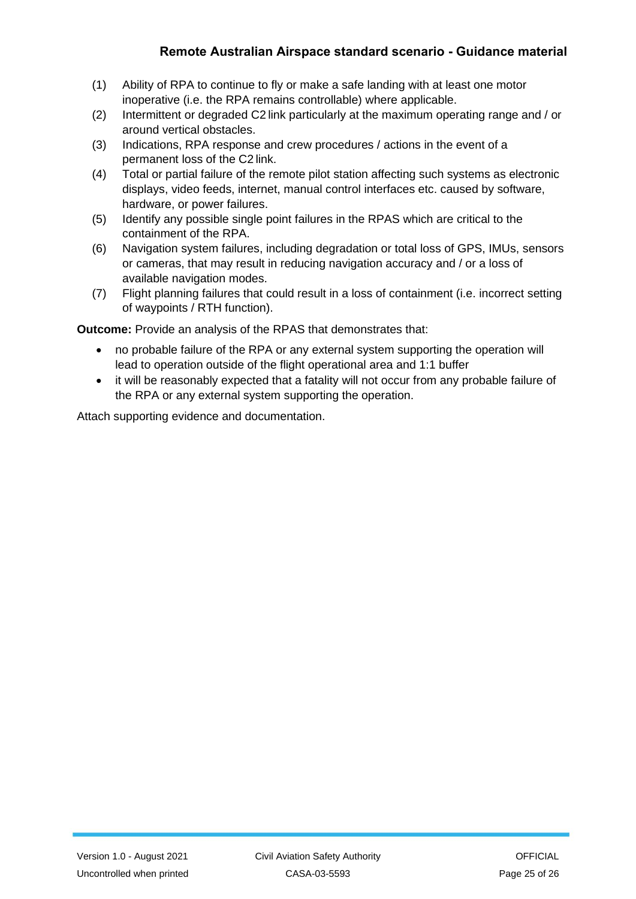- (1) Ability of RPA to continue to fly or make a safe landing with at least one motor inoperative (i.e. the RPA remains controllable) where applicable.
- (2) Intermittent or degraded C2 link particularly at the maximum operating range and / or around vertical obstacles.
- (3) Indications, RPA response and crew procedures / actions in the event of a permanent loss of the C2 link.
- (4) Total or partial failure of the remote pilot station affecting such systems as electronic displays, video feeds, internet, manual control interfaces etc. caused by software, hardware, or power failures.
- (5) Identify any possible single point failures in the RPAS which are critical to the containment of the RPA.
- (6) Navigation system failures, including degradation or total loss of GPS, IMUs, sensors or cameras, that may result in reducing navigation accuracy and / or a loss of available navigation modes.
- (7) Flight planning failures that could result in a loss of containment (i.e. incorrect setting of waypoints / RTH function).

**Outcome:** Provide an analysis of the RPAS that demonstrates that:

- • no probable failure of the RPA or any external system supporting the operation will lead to operation outside of the flight operational area and 1:1 buffer
- • it will be reasonably expected that a fatality will not occur from any probable failure of the RPA or any external system supporting the operation.

Attach supporting evidence and documentation.